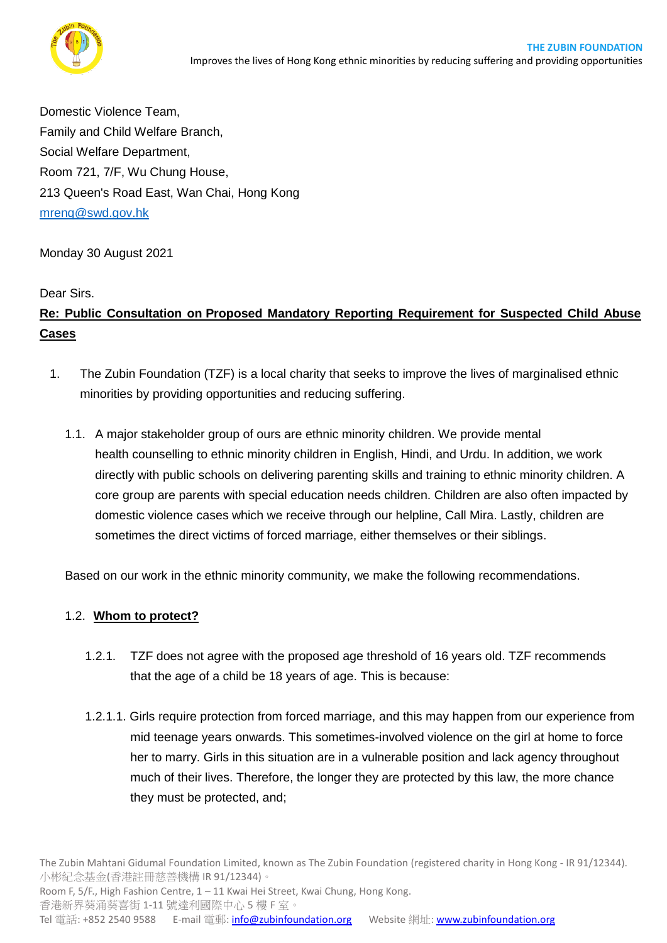

Domestic Violence Team, Family and Child Welfare Branch, Social Welfare Department, Room 721, 7/F, Wu Chung House, 213 Queen's Road East, Wan Chai, Hong Kong [mrenq@swd.gov.hk](mailto:mrenq@swd.gov.hk)

### Monday 30 August 2021

#### Dear Sirs.

# **Re: Public Consultation on Proposed Mandatory Reporting Requirement for Suspected Child Abuse Cases**

- 1. The Zubin Foundation (TZF) is a local charity that seeks to improve the lives of marginalised ethnic minorities by providing opportunities and reducing suffering.
	- 1.1. A major stakeholder group of ours are ethnic minority children. We provide mental health counselling to ethnic minority children in English, Hindi, and Urdu. In addition, we work directly with public schools on delivering parenting skills and training to ethnic minority children. A core group are parents with special education needs children. Children are also often impacted by domestic violence cases which we receive through our helpline, Call Mira. Lastly, children are sometimes the direct victims of forced marriage, either themselves or their siblings.

Based on our work in the ethnic minority community, we make the following recommendations.

#### 1.2. **Whom to protect?**

- 1.2.1. TZF does not agree with the proposed age threshold of 16 years old. TZF recommends that the age of a child be 18 years of age. This is because:
- 1.2.1.1. Girls require protection from forced marriage, and this may happen from our experience from mid teenage years onwards. This sometimes-involved violence on the girl at home to force her to marry. Girls in this situation are in a vulnerable position and lack agency throughout much of their lives. Therefore, the longer they are protected by this law, the more chance they must be protected, and;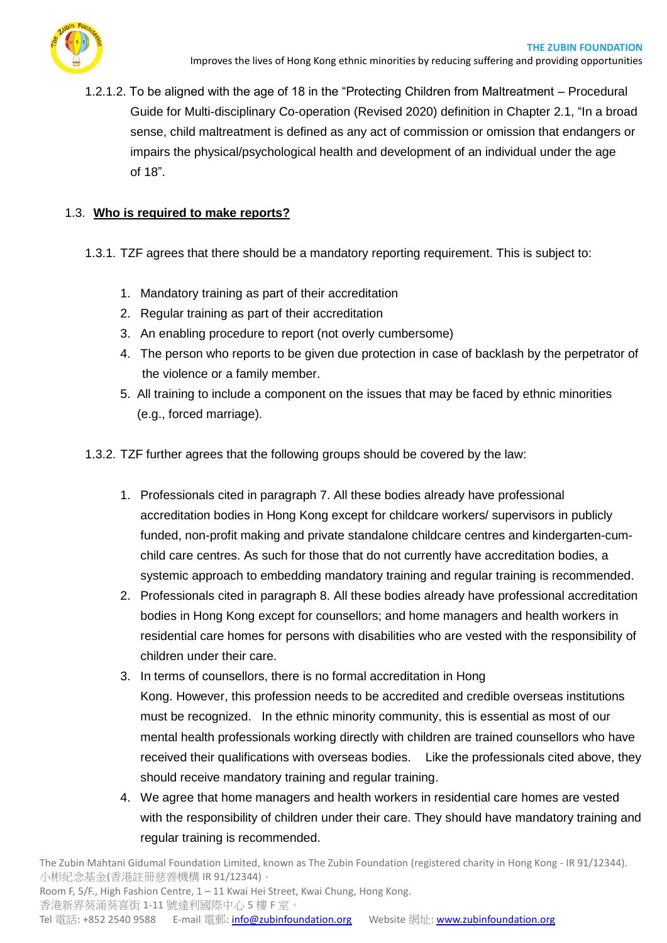

1.2.1.2. To be aligned with the age of 18 in the "Protecting Children from Maltreatment – Procedural Guide for Multi-disciplinary Co-operation (Revised 2020) definition in Chapter 2.1, "In a broad sense, child maltreatment is defined as any act of commission or omission that endangers or impairs the physical/psychological health and development of an individual under the age of 18".

### 1.3. **Who is required to make reports?**

- 1.3.1. TZF agrees that there should be a mandatory reporting requirement. This is subject to:
	- 1. Mandatory training as part of their accreditation
	- 2. Regular training as part of their accreditation
	- 3. An enabling procedure to report (not overly cumbersome)
	- 4. The person who reports to be given due protection in case of backlash by the perpetrator of the violence or a family member.
	- 5. All training to include a component on the issues that may be faced by ethnic minorities (e.g., forced marriage).
- 1.3.2. TZF further agrees that the following groups should be covered by the law:
	- 1. Professionals cited in paragraph 7. All these bodies already have professional accreditation bodies in Hong Kong except for childcare workers/ supervisors in publicly funded, non-profit making and private standalone childcare centres and kindergarten-cumchild care centres. As such for those that do not currently have accreditation bodies, a systemic approach to embedding mandatory training and regular training is recommended.
	- 2. Professionals cited in paragraph 8. All these bodies already have professional accreditation bodies in Hong Kong except for counsellors; and home managers and health workers in residential care homes for persons with disabilities who are vested with the responsibility of children under their care.
	- 3. In terms of counsellors, there is no formal accreditation in Hong Kong. However, this profession needs to be accredited and credible overseas institutions must be recognized. In the ethnic minority community, this is essential as most of our mental health professionals working directly with children are trained counsellors who have received their qualifications with overseas bodies. Like the professionals cited above, they should receive mandatory training and regular training.
	- 4. We agree that home managers and health workers in residential care homes are vested with the responsibility of children under their care. They should have mandatory training and regular training is recommended.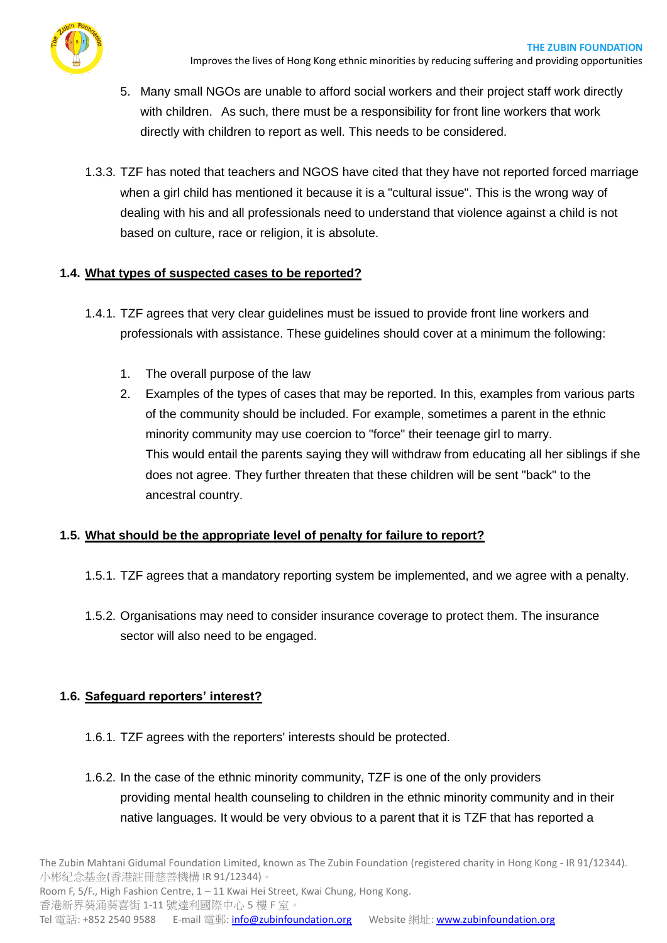

- 5. Many small NGOs are unable to afford social workers and their project staff work directly with children. As such, there must be a responsibility for front line workers that work directly with children to report as well. This needs to be considered.
- 1.3.3. TZF has noted that teachers and NGOS have cited that they have not reported forced marriage when a girl child has mentioned it because it is a "cultural issue". This is the wrong way of dealing with his and all professionals need to understand that violence against a child is not based on culture, race or religion, it is absolute.

## **1.4. What types of suspected cases to be reported?**

- 1.4.1. TZF agrees that very clear guidelines must be issued to provide front line workers and professionals with assistance. These guidelines should cover at a minimum the following:
	- 1. The overall purpose of the law
	- 2. Examples of the types of cases that may be reported. In this, examples from various parts of the community should be included. For example, sometimes a parent in the ethnic minority community may use coercion to "force" their teenage girl to marry. This would entail the parents saying they will withdraw from educating all her siblings if she does not agree. They further threaten that these children will be sent "back" to the ancestral country.

## **1.5. What should be the appropriate level of penalty for failure to report?**

- 1.5.1. TZF agrees that a mandatory reporting system be implemented, and we agree with a penalty.
- 1.5.2. Organisations may need to consider insurance coverage to protect them. The insurance sector will also need to be engaged.

### **1.6. Safeguard reporters' interest?**

- 1.6.1. TZF agrees with the reporters' interests should be protected.
- 1.6.2. In the case of the ethnic minority community, TZF is one of the only providers providing mental health counseling to children in the ethnic minority community and in their native languages. It would be very obvious to a parent that it is TZF that has reported a